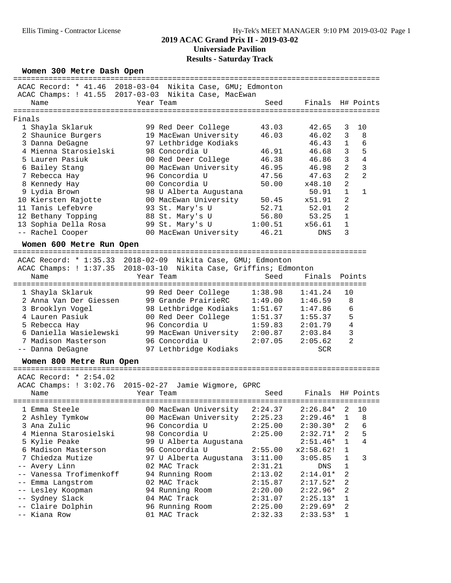### Ellis Timing - Contractor License Hy-Tek's MEET MANAGER 9:10 PM 2019-03-02 Page 1

## **2019 ACAC Grand Prix II - 2019-03-02 Universiade Pavilion Results - Saturday Track**

| Women 300 Metre Dash Open                                                                                        |                                                     |                                              |                                            |                                                                  |                |                |
|------------------------------------------------------------------------------------------------------------------|-----------------------------------------------------|----------------------------------------------|--------------------------------------------|------------------------------------------------------------------|----------------|----------------|
| ACAC Record: * 41.46<br>ACAC Champs: ! 41.55 2017-03-03 Nikita Case, MacEwan<br>Name<br>======================== | 2018-03-04<br>Year Team<br>======================== |                                              | Nikita Case, GMU; Edmonton<br>Seed         | ==================<br>Finals<br>================================ |                | H# Points      |
| Finals                                                                                                           |                                                     |                                              |                                            |                                                                  |                |                |
|                                                                                                                  |                                                     |                                              | 43.03                                      | 42.65                                                            | 3              | 10             |
| 1 Shayla Sklaruk                                                                                                 |                                                     | 99 Red Deer College                          | 46.03                                      | 46.02                                                            | 3              | 8              |
| 2 Shaunice Burgers                                                                                               |                                                     | 19 MacEwan University                        |                                            |                                                                  | 1              | 6              |
| 3 Danna DeGagne<br>4 Mienna Starosielski                                                                         |                                                     | 97 Lethbridge Kodiaks<br>98 Concordia U      | 46.91                                      | 46.43<br>46.68                                                   | 3              | 5              |
| 5 Lauren Pasiuk                                                                                                  |                                                     |                                              | 46.38                                      | 46.86                                                            | $\mathbf{3}$   | $\overline{4}$ |
| 6 Bailey Stang                                                                                                   |                                                     | 00 Red Deer College<br>00 MacEwan University | 46.95                                      | 46.98                                                            | $\overline{2}$ | 3              |
| 7 Rebecca Hay                                                                                                    |                                                     | 96 Concordia U                               | 47.56                                      | 47.63                                                            | $\overline{2}$ | $\overline{2}$ |
|                                                                                                                  |                                                     | 00 Concordia U                               | 50.00                                      |                                                                  | $\overline{2}$ |                |
| 8 Kennedy Hay                                                                                                    |                                                     |                                              |                                            | x48.10                                                           | $\mathbf{1}$   | $\mathbf{1}$   |
| 9 Lydia Brown                                                                                                    |                                                     | 98 U Alberta Augustana                       |                                            | 50.91                                                            | $\overline{2}$ |                |
| 10 Kiersten Rajotte                                                                                              |                                                     | 00 MacEwan University                        | 50.45                                      | x51.91                                                           | $\overline{2}$ |                |
| 11 Tanis Lefebvre                                                                                                |                                                     | 93 St. Mary's U                              | 52.71                                      | 52.01                                                            | $\mathbf{1}$   |                |
| 12 Bethany Topping                                                                                               |                                                     | 88 St. Mary's U                              | 56.80                                      | 53.25                                                            | 1              |                |
| 13 Sophia Della Rosa                                                                                             |                                                     | 99 St. Mary's U                              | 1:00.51                                    | x56.61                                                           | 3              |                |
| -- Rachel Cooper                                                                                                 |                                                     | 00 MacEwan University                        | 46.21                                      | DNS                                                              |                |                |
| Women 600 Metre Run Open                                                                                         |                                                     |                                              |                                            |                                                                  |                |                |
| ACAC Record: * 1:35.33 2018-02-09 Nikita Case, GMU; Edmonton                                                     |                                                     |                                              |                                            |                                                                  |                |                |
| ACAC Champs: ! 1:37.35                                                                                           |                                                     |                                              | 2018-03-10 Nikita Case, Griffins; Edmonton |                                                                  |                |                |
| Name                                                                                                             | Year Team                                           |                                              | Seed                                       | Finals                                                           | Points         |                |
|                                                                                                                  |                                                     |                                              |                                            |                                                                  |                |                |
| 1 Shayla Sklaruk                                                                                                 |                                                     | 99 Red Deer College                          | 1:38.98                                    | 1:41.24                                                          | 10             |                |
| 2 Anna Van Der Giessen                                                                                           |                                                     | 99 Grande PrairieRC                          | 1:49.00                                    | 1:46.59                                                          | 8              |                |
| 3 Brooklyn Vogel                                                                                                 |                                                     | 98 Lethbridge Kodiaks                        | 1:51.67                                    | 1:47.86                                                          | 6              |                |
| 4 Lauren Pasiuk                                                                                                  |                                                     | 00 Red Deer College                          | 1:51.37                                    | 1:55.37                                                          | 5              |                |
| 5 Rebecca Hay                                                                                                    |                                                     | 96 Concordia U                               | 1:59.83                                    | 2:01.79                                                          | 4              |                |
| 6 Daniella Wasielewski                                                                                           |                                                     | 99 MacEwan University                        | 2:00.87                                    | 2:03.84                                                          | 3              |                |
| 7 Madison Masterson                                                                                              |                                                     | 96 Concordia U                               | 2:07.05                                    | 2:05.62                                                          | $\overline{2}$ |                |
| -- Danna DeGagne                                                                                                 |                                                     | 97 Lethbridge Kodiaks                        |                                            | SCR                                                              |                |                |
|                                                                                                                  |                                                     |                                              |                                            |                                                                  |                |                |
| Women 800 Metre Run Open<br>================<br>.                                                                |                                                     |                                              |                                            |                                                                  |                |                |
| ACAC Record: * 2:54.02                                                                                           |                                                     |                                              |                                            |                                                                  |                |                |
|                                                                                                                  |                                                     |                                              |                                            |                                                                  |                |                |
| ACAC Champs: ! 3:02.76                                                                                           | $2015 - 02 - 27$                                    | Jamie Wigmore, GPRC                          | Seed                                       | Finals                                                           |                |                |
| Name                                                                                                             | Year Team                                           |                                              |                                            |                                                                  |                | H# Points      |
| 1 Emma Steele                                                                                                    |                                                     | 00 MacEwan University                        | 2:24.37                                    | $2:26.84*$                                                       | 2              | 10             |
| 2 Ashley Tymkow                                                                                                  |                                                     | 00 MacEwan University                        | 2:25.23                                    | $2:29.46*$                                                       | 1              | 8              |
| 3 Ana Zulic                                                                                                      |                                                     | 96 Concordia U                               | 2:25.00                                    |                                                                  | 2              | 6              |
|                                                                                                                  |                                                     |                                              |                                            | $2:30.30*$                                                       | 2              |                |
| 4 Mienna Starosielski<br>5 Kylie Peake                                                                           |                                                     | 98 Concordia U                               | 2:25.00                                    | $2:32.71*$                                                       | $\mathbf{1}$   | 5<br>4         |
| 6 Madison Masterson                                                                                              |                                                     | 99 U Alberta Augustana<br>96 Concordia U     |                                            | $2:51.46*$                                                       |                |                |
|                                                                                                                  |                                                     |                                              | 2:55.00                                    | x2:58.62!                                                        | 1              |                |
| 7 Chiedza Mutize                                                                                                 |                                                     | 97 U Alberta Augustana                       | 3:11.00                                    | 3:05.85                                                          | 1              | 3              |
| -- Avery Linn                                                                                                    | 02 MAC Track                                        |                                              | 2:31.21                                    | DNS                                                              | 1              |                |
| -- Vanessa Trofimenkoff                                                                                          |                                                     | 94 Running Room                              | 2:13.02                                    | $2:14.01*$                                                       | 2              |                |

 -- Emma Langstrom 02 MAC Track 2:15.87 2:17.52\* 2 -- Lesley Koopman 94 Running Room 2:20.00 2:22.96\* 2 -- Sydney Slack 04 MAC Track 2:31.07 2:25.13\* 1 -- Claire Dolphin 96 Running Room 2:25.00 2:29.69\* 2 -- Kiana Row 01 MAC Track 2:32.33 2:33.53\* 1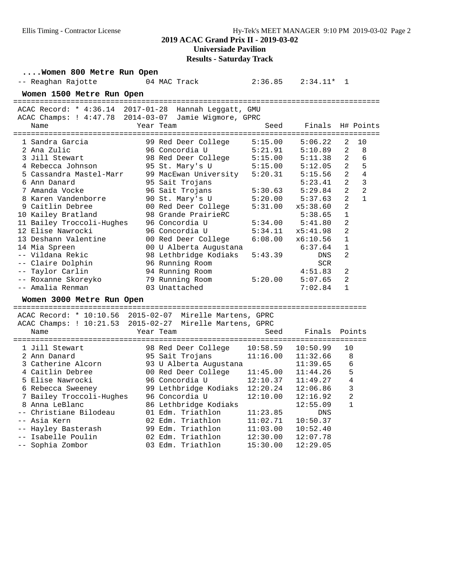# **Results - Saturday Track**

| Women 800 Metre Run Open                              |                                  |          |              |                |                |
|-------------------------------------------------------|----------------------------------|----------|--------------|----------------|----------------|
| -- Reaghan Rajotte                                    | 04 MAC Track                     | 2:36.85  | $2:34.11*$ 1 |                |                |
| Women 1500 Metre Run Open                             |                                  |          |              |                |                |
|                                                       |                                  |          |              |                |                |
| ACAC Record: * 4:36.14 2017-01-28 Hannah Leggatt, GMU |                                  |          |              |                |                |
| ACAC Champs: ! 4:47.78 2014-03-07                     | Jamie Wigmore, GPRC              |          |              |                |                |
| Name                                                  | Year Team                        | Seed     | Finals       |                | H# Points      |
| 1 Sandra Garcia                                       | 99 Red Deer College              | 5:15.00  | 5:06.22      | 2              | 10             |
| 2 Ana Zulic                                           | 96 Concordia U                   | 5:21.91  | 5:10.89      | 2              | 8              |
| 3 Jill Stewart                                        | 98 Red Deer College              | 5:15.00  | 5:11.38      | $\overline{a}$ | 6              |
| 4 Rebecca Johnson                                     | 95 St. Mary's U                  | 5:15.00  | 5:12.05      | $\overline{a}$ | 5              |
| 5 Cassandra Mastel-Marr                               | 99 MacEwan University            | 5:20.31  | 5:15.56      | $\overline{2}$ | 4              |
| 6 Ann Danard                                          | 95 Sait Trojans                  |          | 5:23.41      | 2              | 3              |
| 7 Amanda Vocke                                        | 96 Sait Trojans                  | 5:30.63  | 5:29.84      | $\overline{a}$ | $\overline{2}$ |
| 8 Karen Vandenborre                                   | 90 St. Mary's U                  | 5:20.00  | 5:37.63      | 2              | $\mathbf{1}$   |
| 9 Caitlin Debree                                      | 00 Red Deer College              | 5:31.00  | x5:38.60     | 2              |                |
| 10 Kailey Bratland                                    | 98 Grande PrairieRC              |          | 5:38.65      | $\mathbf 1$    |                |
| 11 Bailey Troccoli-Hughes                             | 96 Concordia U                   | 5:34.00  | 5:41.80      | $\overline{2}$ |                |
| 12 Elise Nawrocki                                     | 96 Concordia U                   | 5:34.11  | x5:41.98     | $\overline{2}$ |                |
| 13 Deshann Valentine                                  | 00 Red Deer College              | 6:08.00  | x6:10.56     | $\mathbf{1}$   |                |
| 14 Mia Spreen                                         | 00 U Alberta Augustana           |          | 6:37.64      | 1              |                |
| -- Vildana Rekic                                      | 98 Lethbridge Kodiaks            | 5:43.39  | DNS          | $\overline{2}$ |                |
| -- Claire Dolphin                                     | 96 Running Room                  |          | <b>SCR</b>   |                |                |
| -- Taylor Carlin                                      | 94 Running Room                  |          | 4:51.83      | 2              |                |
| -- Roxanne Skoreyko                                   | 79 Running Room                  | 5:20.00  | 5:07.65      | $\overline{2}$ |                |
| -- Amalia Renman                                      | 03 Unattached                    |          | 7:02.84      | $\mathbf{1}$   |                |
|                                                       |                                  |          |              |                |                |
| Women 3000 Metre Run Open                             |                                  |          |              |                |                |
|                                                       |                                  |          |              |                |                |
| ACAC Champs: ! 10:21.53                               | 2015-02-27 Mirelle Martens, GPRC |          |              |                |                |
| Name                                                  | Year Team                        | Seed     | Finals       | Points         |                |
|                                                       |                                  |          |              |                |                |
| 1 Jill Stewart                                        | 98 Red Deer College              | 10:58.59 | 10:50.99     | 10             |                |
| 2 Ann Danard                                          | 95 Sait Trojans                  | 11:16.00 | 11:32.66     | 8              |                |
| 3 Catherine Alcorn                                    | 93 U Alberta Augustana           |          | 11:39.65     | 6              |                |
| 4 Caitlin Debree                                      | 00 Red Deer College              | 11:45.00 | 11:44.26     | 5              |                |
| 5 Elise Nawrocki                                      | 96 Concordia U                   | 12:10.37 | 11:49.27     | 4              |                |
| 6 Rebecca Sweeney                                     | 99 Lethbridge Kodiaks            | 12:20.24 | 12:06.86     | 3              |                |
| 7 Bailey Troccoli-Hughes                              | 96 Concordia U                   | 12:10.00 | 12:16.92     | 2              |                |
| 8 Anna LeBlanc                                        | 86 Lethbridge Kodiaks            |          | 12:55.09     | $\mathbf{1}$   |                |
| -- Christiane Bilodeau                                | 01 Edm. Triathlon                | 11:23.85 | <b>DNS</b>   |                |                |
| -- Asia Kern                                          | 02 Edm. Triathlon                | 11:02.71 | 10:50.37     |                |                |
| -- Hayley Basterash                                   | 99 Edm. Triathlon                | 11:03.00 | 10:52.40     |                |                |
| -- Isabelle Poulin                                    | 02 Edm. Triathlon                | 12:30.00 | 12:07.78     |                |                |
| -- Sophia Zombor                                      | 03 Edm. Triathlon                | 15:30.00 | 12:29.05     |                |                |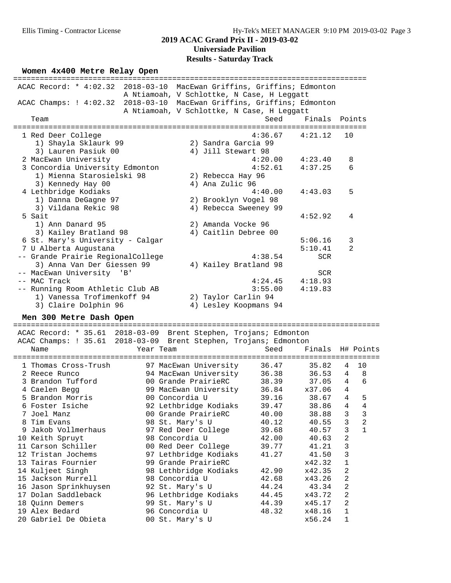## **2019 ACAC Grand Prix II - 2019-03-02 Universiade Pavilion Results - Saturday Track**

#### Women  $4x400$  Metre Relay Open

|                                   | ACAC Record: * 4:02.32 2018-03-10 MacEwan Griffins, Griffins; Edmonton<br>A Ntiamoah, V Schlottke, N Case, H Leqqatt |                |
|-----------------------------------|----------------------------------------------------------------------------------------------------------------------|----------------|
|                                   | ACAC Champs: ! 4:02.32 2018-03-10 MacEwan Griffins, Griffins; Edmonton                                               |                |
|                                   | A Ntiamoah, V Schlottke, N Case, H Leggatt                                                                           |                |
| Team                              | Finals Points<br>Seed                                                                                                |                |
| 1 Red Deer College                | 4:36.67<br>4:21.12                                                                                                   | 10             |
| 1) Shayla Sklaurk 99              | 2) Sandra Garcia 99                                                                                                  |                |
| 3) Lauren Pasiuk 00               | 4) Jill Stewart 98                                                                                                   |                |
| 2 MacEwan University              | 4:20.00<br>4:23.40                                                                                                   | 8              |
| 3 Concordia University Edmonton   | 4:52.61<br>4:37.25                                                                                                   | 6              |
| 1) Mienna Starosielski 98         | 2) Rebecca Hay 96                                                                                                    |                |
| 3) Kennedy Hay 00                 | 4) Ana Zulic 96                                                                                                      |                |
| 4 Lethbridge Kodiaks              | 4:43.03<br>4:40.00                                                                                                   | 5              |
| 1) Danna DeGagne 97               | 2) Brooklyn Vogel 98                                                                                                 |                |
| 3) Vildana Rekic 98               | 4) Rebecca Sweeney 99                                                                                                |                |
| 5 Sait                            | 4:52.92                                                                                                              | 4              |
| 1) Ann Danard 95                  | 2) Amanda Vocke 96                                                                                                   |                |
| 3) Kailey Bratland 98             | 4) Caitlin Debree 00                                                                                                 |                |
| 6 St. Mary's University - Calgar  | 5:06.16                                                                                                              | 3              |
| 7 U Alberta Augustana             | 5:10.41                                                                                                              | $\overline{2}$ |
| -- Grande Prairie RegionalCollege | 4:38.54<br><b>SCR</b>                                                                                                |                |
| 3) Anna Van Der Giessen 99        | 4) Kailey Bratland 98                                                                                                |                |
| MacEwan University 'B'<br>$ -$    | <b>SCR</b>                                                                                                           |                |
| -- MAC Track                      | 4:18.93<br>4:24.45                                                                                                   |                |
| -- Running Room Athletic Club AB  | 3:55.00<br>4:19.83                                                                                                   |                |
| 1) Vanessa Trofimenkoff 94        | 2) Taylor Carlin 94                                                                                                  |                |
| 3) Claire Dolphin 96              | 4) Lesley Koopmans 94                                                                                                |                |

# **Men 300 Metre Dash Open** ===================================================================================

 ACAC Record: \* 35.61 2018-03-09 Brent Stephen, Trojans; Edmonton ACAC Champs: ! 35.61 2018-03-09 Brent Stephen, Trojans; Edmonton Name Tear Team Seed Finals H# Points =================================================================================== 1 Thomas Cross-Trush 97 MacEwan University 36.47 35.82 4 10 2 Reece Runco 94 MacEwan University 36.38 36.53 4 8 3 Brandon Tufford 00 Grande PrairieRC 38.39 37.05 4 6 4 Caelen Begg 99 MacEwan University 36.84 x37.06 4 5 Brandon Morris 00 Concordia U 39.16 38.67 4 5 6 Foster Isiche 92 Lethbridge Kodiaks 39.47 38.86 4 4 7 Joel Manz 00 Grande PrairieRC 40.00 38.88 3 3 8 Tim Evans 98 St. Mary's U 40.12 40.55 3 2 9 Jakob Vollmerhaus 97 Red Deer College 39.68 40.57 3 1 10 Keith Spruyt 98 Concordia U 42.00 40.63 2 11 Carson Schiller 00 Red Deer College 39.77 41.21 3 12 Tristan Jochems 97 Lethbridge Kodiaks 41.27 41.50 3 13 Tairas Fournier 99 Grande PrairieRC x42.32 1 14 Kuljeet Singh 98 Lethbridge Kodiaks 42.90 x42.35 2 15 Jackson Murrell 98 Concordia U 42.68 x43.26 2 16 Jason Sprinkhuysen 92 St. Mary's U 44.24 43.34 2 17 Dolan Saddleback 96 Lethbridge Kodiaks 44.45 x43.72 2 18 Quinn Demers 99 St. Mary's U 44.39 x45.17 2 19 Alex Bedard 96 Concordia U 48.32 x48.16 1

20 Gabriel De Obieta 00 St. Mary's U x56.24 1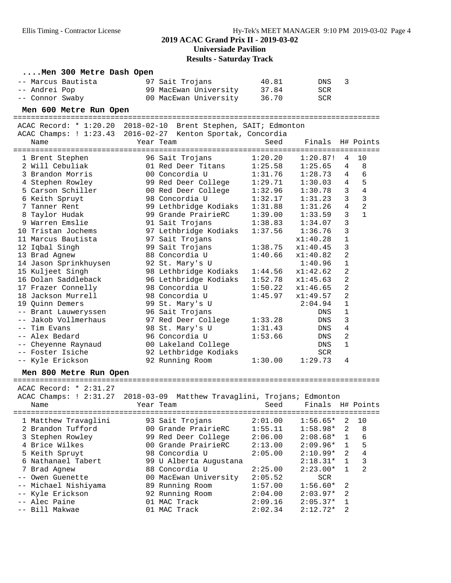## **2019 ACAC Grand Prix II - 2019-03-02 Universiade Pavilion**

**Results - Saturday Track**

| Men 300 Metre Dash Open |                                                                         |         |                  |                |                |
|-------------------------|-------------------------------------------------------------------------|---------|------------------|----------------|----------------|
| -- Marcus Bautista      | 97 Sait Trojans                                                         | 40.81   | DNS              | 3              |                |
| -- Andrei Pop           | 99 MacEwan University                                                   | 37.84   | SCR              |                |                |
| -- Connor Swaby         | 00 MacEwan University                                                   | 36.70   | <b>SCR</b>       |                |                |
| Men 600 Metre Run Open  |                                                                         |         |                  |                |                |
|                         |                                                                         |         |                  |                |                |
|                         | ACAC Record: * 1:20.20 2018-02-10 Brent Stephen, SAIT; Edmonton         |         |                  |                |                |
|                         | ACAC Champs: ! 1:23.43 2016-02-27 Kenton Sportak, Concordia             |         |                  |                |                |
| Name                    | Year Team                                                               | Seed    | Finals           |                | H# Points      |
|                         |                                                                         |         |                  |                |                |
| 1 Brent Stephen         | 96 Sait Trojans                                                         | 1:20.20 | 1:20.87!         | 4              | 10             |
| 2 Will Cebuliak         | 01 Red Deer Titans                                                      | 1:25.58 | 1:25.65          | 4              | 8              |
| 3 Brandon Morris        | 00 Concordia U                                                          | 1:31.76 | 1:28.73          | 4              | 6              |
| 4 Stephen Rowley        | 99 Red Deer College                                                     | 1:29.71 | 1:30.03          | 4              | 5              |
| 5 Carson Schiller       | 00 Red Deer College                                                     | 1:32.96 | 1:30.78          | $\mathbf{3}$   | $\overline{4}$ |
| 6 Keith Spruyt          | 98 Concordia U                                                          | 1:32.17 | 1:31.23          | $\mathbf{3}$   | $\mathbf{3}$   |
| 7 Tanner Rent           | 99 Lethbridge Kodiaks                                                   | 1:31.88 | 1:31.26          | $\overline{4}$ | $\overline{2}$ |
| 8 Taylor Hudak          | 99 Grande PrairieRC                                                     | 1:39.00 | 1:33.59          | 3              | $\mathbf{1}$   |
| 9 Warren Emslie         | 91 Sait Trojans                                                         | 1:38.83 | 1:34.07          | 3              |                |
| 10 Tristan Jochems      | 97 Lethbridge Kodiaks                                                   | 1:37.56 | 1:36.76          | 3              |                |
| 11 Marcus Bautista      | 97 Sait Trojans                                                         |         | x1:40.28         | $\mathbf{1}$   |                |
| 12 Iqbal Singh          | 99 Sait Trojans                                                         | 1:38.75 | x1:40.45         | 3              |                |
| 13 Brad Agnew           | 88 Concordia U                                                          | 1:40.66 | x1:40.82         | 2              |                |
| 14 Jason Sprinkhuysen   | 92 St. Mary's U                                                         |         | 1:40.96          | 1              |                |
| 15 Kuljeet Singh        | 98 Lethbridge Kodiaks                                                   | 1:44.56 | x1:42.62         | 2              |                |
| 16 Dolan Saddleback     | 96 Lethbridge Kodiaks                                                   | 1:52.78 | x1:45.63         | 2              |                |
| 17 Frazer Connelly      | 98 Concordia U                                                          | 1:50.22 | x1:46.65         | 2              |                |
| 18 Jackson Murrell      | 98 Concordia U                                                          | 1:45.97 | x1:49.57         | 2              |                |
| 19 Quinn Demers         | 99 St. Mary's U                                                         |         | 2:04.94          | 1              |                |
| -- Brant Lauweryssen    | 96 Sait Trojans                                                         |         | DNS              | 1              |                |
| -- Jakob Vollmerhaus    | 97 Red Deer College                                                     | 1:33.28 | DNS              | 3              |                |
| -- Tim Evans            | 98 St. Mary's U                                                         | 1:31.43 | DNS              | 4              |                |
| -- Alex Bedard          | 96 Concordia U                                                          | 1:53.66 | DNS              | 2              |                |
| -- Cheyenne Raynaud     | 00 Lakeland College                                                     |         | DNS              | $\mathbf 1$    |                |
| -- Foster Isiche        | 92 Lethbridge Kodiaks                                                   |         | <b>SCR</b>       |                |                |
| -- Kyle Erickson        | 92 Running Room                                                         | 1:30.00 | 1:29.73          | 4              |                |
|                         |                                                                         |         |                  |                |                |
| Men 800 Metre Run Open  |                                                                         |         |                  |                |                |
| ACAC Record: * 2:31.27  |                                                                         |         |                  |                |                |
|                         | ACAC Champs: ! 2:31.27 2018-03-09 Matthew Travaglini, Trojans; Edmonton |         |                  |                |                |
| Name                    | Year Team                                                               | Seed    | Finals H# Points |                |                |
|                         |                                                                         |         |                  |                |                |
| 1 Matthew Travaglini    | 93 Sait Trojans                                                         | 2:01.00 | $1:56.65*$       | 2              | 10             |
| 2 Brandon Tufford       | 00 Grande PrairieRC                                                     | 1:55.11 | $1:58.98*$       | 2              | 8              |
| 3 Stephen Rowley        | 99 Red Deer College                                                     | 2:06.00 | $2:08.68*$       | 1              | 6              |
| 4 Brice Wilkes          | 00 Grande PrairieRC                                                     | 2:13.00 | $2:09.96*$       | 1              | 5              |
| 5 Keith Spruyt          | 98 Concordia U                                                          | 2:05.00 | $2:10.99*$       | 2              | 4              |
| 6 Nathanael Tabert      | 99 U Alberta Augustana                                                  |         | $2:18.31*$       | 1              | 3              |
| 7 Brad Agnew            | 88 Concordia U                                                          | 2:25.00 | $2:23.00*$       | 1              | 2              |
| -- Owen Guenette        | 00 MacEwan University                                                   | 2:05.52 | SCR              |                |                |
| -- Michael Nishiyama    | 89 Running Room                                                         | 1:57.00 | $1:56.60*$       | 2              |                |
| Kyle Erickson           | 92 Running Room                                                         | 2:04.00 | $2:03.97*$       | 2              |                |
| -- Alec Paine           | 01 MAC Track                                                            | 2:09.16 | $2:05.37*$       | 1              |                |
| -- Bill Makwae          | 01 MAC Track                                                            | 2:02.34 | $2:12.72*$       | 2              |                |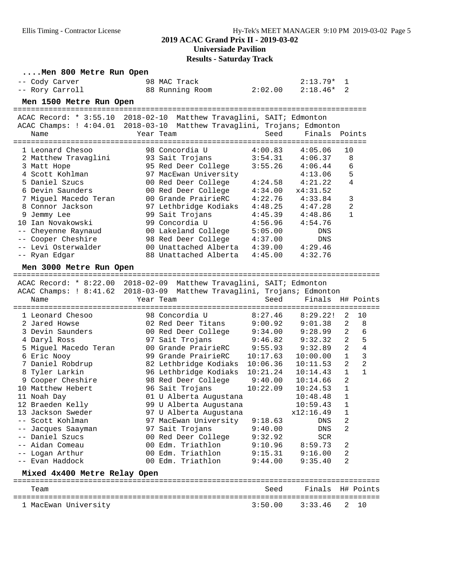## **2019 ACAC Grand Prix II - 2019-03-02 Universiade Pavilion**

**Results - Saturday Track**

| Men 800 Metre Run Open               |                                                                         |                      |                    |                |                |
|--------------------------------------|-------------------------------------------------------------------------|----------------------|--------------------|----------------|----------------|
| -- Cody Carver                       | 98 MAC Track                                                            |                      | $2:13.79*$         | 1              |                |
| -- Rory Carroll                      | 88 Running Room                                                         | 2:02.00              | $2:18.46*$         | 2              |                |
| Men 1500 Metre Run Open              |                                                                         |                      |                    |                |                |
| ==================================== |                                                                         |                      |                    |                |                |
|                                      | ACAC Record: * 3:55.10 2018-02-10 Matthew Travaglini, SAIT; Edmonton    |                      |                    |                |                |
|                                      | ACAC Champs: ! 4:04.01 2018-03-10 Matthew Travaglini, Trojans; Edmonton |                      |                    |                |                |
| Name                                 | Year Team                                                               | Seed                 | Finals Points      |                |                |
|                                      | ============                                                            | ===============      |                    | ==========     |                |
| 1 Leonard Chesoo                     | 98 Concordia U                                                          | 4:00.83              | 4:05.06            | 10             |                |
| 2 Matthew Travaglini                 | 93 Sait Trojans                                                         | 3:54.31              | 4:06.37            | 8              |                |
| 3 Matt Hope                          | 95 Red Deer College                                                     | 3:55.26              | 4:06.44            | 6              |                |
| 4 Scott Kohlman                      | 97 MacEwan University                                                   |                      | 4:13.06            | 5              |                |
| 5 Daniel Szucs                       | 00 Red Deer College                                                     | 4:24.58              | 4:21.22            | 4              |                |
| 6 Devin Saunders                     | 00 Red Deer College                                                     | 4:34.00              | x4:31.52           |                |                |
| 7 Miguel Macedo Teran                | 00 Grande PrairieRC                                                     | 4:22.76              | 4:33.84            | 3<br>2         |                |
| 8 Connor Jackson<br>9 Jemmy Lee      | 97 Lethbridge Kodiaks<br>99 Sait Trojans                                | 4:48.25<br>4:45.39   | 4:47.28<br>4:48.86 | $\mathbf{1}$   |                |
| 10 Ian Novakowski                    | 99 Concordia U                                                          | 4:56.96              | 4:54.76            |                |                |
| -- Cheyenne Raynaud                  | 00 Lakeland College                                                     | 5:05.00              | DNS                |                |                |
| Cooper Cheshire                      | 98 Red Deer College 4:37.00                                             |                      | DNS                |                |                |
| -- Levi Osterwalder                  | 00 Unattached Alberta 4:39.00                                           |                      | 4:29.46            |                |                |
| -- Ryan Edgar                        | 88 Unattached Alberta                                                   | 4:45.00              | 4:32.76            |                |                |
|                                      |                                                                         |                      |                    |                |                |
| Men 3000 Metre Run Open              |                                                                         |                      |                    |                |                |
|                                      | ACAC Record: * 8:22.00 2018-02-09 Matthew Travaglini, SAIT; Edmonton    |                      |                    |                |                |
|                                      | ACAC Champs: ! 8:41.62 2018-03-09 Matthew Travaglini, Trojans; Edmonton |                      |                    |                |                |
|                                      |                                                                         |                      |                    |                |                |
|                                      |                                                                         |                      |                    |                |                |
| Name                                 | Year Team                                                               | Seed                 | Finals             |                | H# Points      |
| 1 Leonard Chesoo                     | 98 Concordia U                                                          | 8:27.46              | 8:29.22!           | 2              | 10             |
| 2 Jared Howse                        | 02 Red Deer Titans                                                      | 9:00.92              | 9:01.38            | $\overline{a}$ | 8              |
| 3 Devin Saunders                     | 00 Red Deer College                                                     | 9:34.00              | 9:28.99            | 2              | 6              |
| 4 Daryl Ross                         | 97 Sait Trojans                                                         | 9:46.82              | 9:32.32            | 2              | 5              |
| 5 Miguel Macedo Teran                | 00 Grande PrairieRC                                                     | 9:55.93              | 9:32.89            | $\overline{a}$ | $\overline{4}$ |
| 6 Eric Nooy                          | 99 Grande PrairieRC                                                     |                      | 10:00.00           | $\mathbf{1}$   | $\mathfrak{Z}$ |
| 7 Daniel Robdrup                     | 82 Lethbridge Kodiaks                                                   | 10:17.63<br>10:06.36 | 10:11.53           | $\overline{a}$ | $\overline{2}$ |
| 8 Tyler Larkin                       | 96 Lethbridge Kodiaks                                                   | 10:21.24             | 10:14.43           | $\mathbf{1}$   | 1              |
| 9 Cooper Cheshire                    | 98 Red Deer College                                                     | 9:40.00              | 10:14.66           | $\overline{2}$ |                |
| 10 Matthew Hebert                    | 96 Sait Trojans                                                         | 10:22.09             | 10:24.53           | $\mathbf{1}$   |                |
| 11 Noah Day                          | 01 U Alberta Augustana                                                  |                      | 10:48.48           | $\mathbf{1}$   |                |
| 12 Braeden Kelly                     | 99 U Alberta Augustana                                                  |                      | 10:59.43           | 1              |                |
| 13 Jackson Sweder                    | 97 U Alberta Augustana                                                  |                      | x12:16.49          | 1              |                |
| -- Scott Kohlman                     | 97 MacEwan University                                                   | 9:18.63              | DNS                | 2              |                |
| Jacques Saayman<br>$--$              | 97 Sait Trojans                                                         | 9:40.00              | DNS                | 2              |                |
| -- Daniel Szucs                      | 00 Red Deer College                                                     | 9:32.92              | <b>SCR</b>         |                |                |
| -- Aidan Comeau                      | 00 Edm. Triathlon                                                       | 9:10.96              | 8:59.73            | 2              |                |
| -- Logan Arthur                      | 00 Edm. Triathlon                                                       | 9:15.31              | 9:16.00            | 2              |                |
| -- Evan Haddock                      | 00 Edm. Triathlon                                                       | 9:44.00              | 9:35.40            | 2              |                |
| Mixed 4x400 Metre Relay Open         |                                                                         |                      |                    |                |                |
| Team                                 |                                                                         | Seed                 | Finals             |                | H# Points      |
| 1 MacEwan University                 |                                                                         | 3:50.00              | 3:33.46            | 2              | 10             |